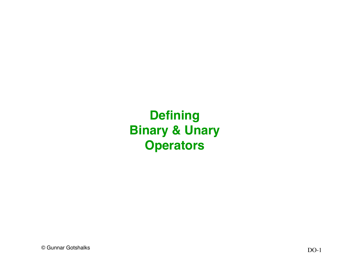**Defining Binary & Unary Operators**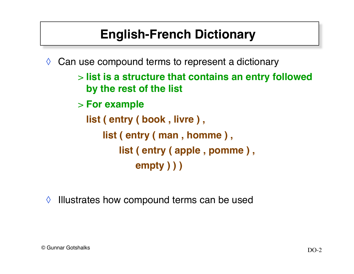# **English-French Dictionary**

 $\Diamond$  Can use compound terms to represent a dictionary

> **list is a structure that contains an entry followed by the rest of the list**

> **For example**

**list ( entry ( book , livre ) , list ( entry ( man , homme ) , list ( entry ( apple , pomme ) , empty ) ) )**

◊ Illustrates how compound terms can be used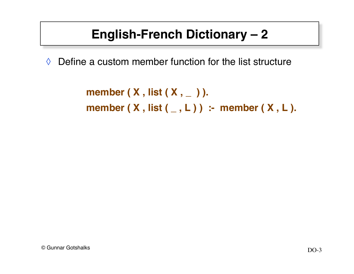# **English-French Dictionary – 2**

 $\Diamond$  Define a custom member function for the list structure

**member ( X , list ( X , \_ ) ). member ( X , list ( \_ , L ) ) :- member ( X , L ).**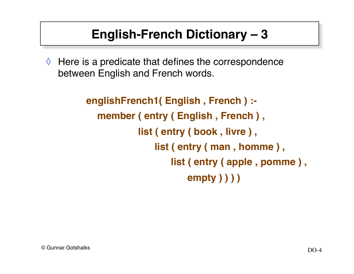# **English-French Dictionary – 3**

 $\Diamond$  Here is a predicate that defines the correspondence between English and French words.

```
englishFrench1( English , French ) :-
   member ( entry ( English , French ) ,
             list ( entry ( book , livre ) ,
                 list ( entry ( man , homme ) ,
                     list ( entry ( apple , pomme ) ,
                         empty ) ) ) )
```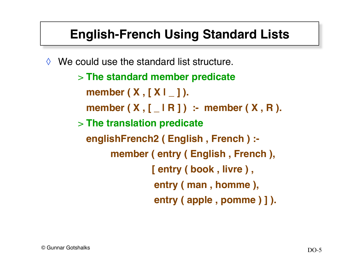## **English-French Using Standard Lists**

 $\Diamond$  We could use the standard list structure.

> **The standard member predicate member ( X , [ X | \_ ] ). member ( X , [ \_ | R ] ) :- member ( X , R ).** > **The translation predicate englishFrench2 ( English , French ) : member ( entry ( English , French ), [ entry ( book , livre ) , entry ( man , homme ), entry ( apple , pomme ) ] ).**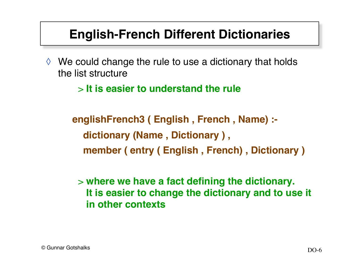#### **English-French Different Dictionaries**

 $\Diamond$  We could change the rule to use a dictionary that holds the list structure

> **It is easier to understand the rule**

**englishFrench3 ( English , French , Name) : dictionary (Name , Dictionary ) , member ( entry ( English , French) , Dictionary )**

> **where we have a fact defining the dictionary. It is easier to change the dictionary and to use it in other contexts**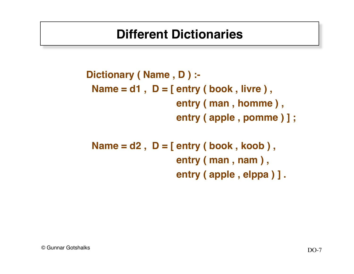#### **Different Dictionaries**

**Dictionary ( Name , D ) :- Name = d1 , D = [ entry ( book , livre ) , entry ( man , homme ) , entry ( apple , pomme ) ] ;**

 **Name = d2 , D = [ entry ( book , koob ) , entry ( man , nam ) , entry ( apple , elppa ) ] .**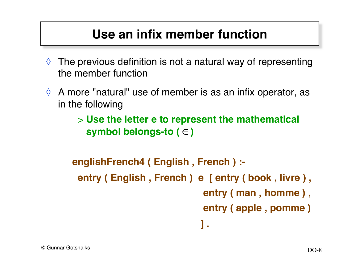## **Use an infix member function**

- $\Diamond$  The previous definition is not a natural way of representing the member function
- $\Diamond$  A more "natural" use of member is as an infix operator, as in the following

> **Use the letter e to represent the mathematical**  symbol belongs-to ( ∈ )

```
englishFrench4 ( English , French ) :-
  entry ( English , French ) e [ entry ( book , livre ) ,
                              entry ( man , homme ) ,
                              entry ( apple , pomme )
1 . 1 . 1 . 1 . 1 . 1 . 1 .
```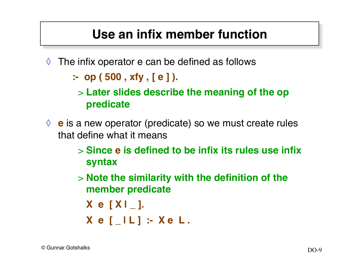## **Use an infix member function**

 $\Diamond$  The infix operator e can be defined as follows

**:- op ( 500 , xfy , [ e ] ).**

- > **Later slides describe the meaning of the op predicate**
- ◊ **e** is a new operator (predicate) so we must create rules that define what it means
	- > **Since e is defined to be infix its rules use infix syntax**
	- > **Note the similarity with the definition of the member predicate**

$$
X e [X I_].
$$

$$
X e [L] : X e L.
$$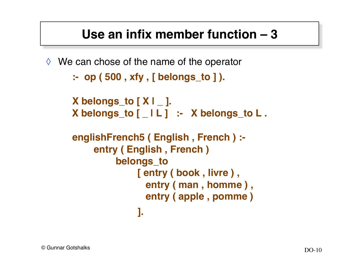## **Use an infix member function – 3**

 $\Diamond$  We can chose of the name of the operator **:- op ( 500 , xfy , [ belongs\_to ] ).**

```
X belongs_to [ X | _ ].
X belongs_to [ _ | L ] :- X belongs_to L .
```

```
englishFrench5 ( English , French ) :-
     entry ( English , French )
          belongs_to
               [ entry ( book , livre ) ,
                entry ( man , homme ) ,
                entry ( apple , pomme )
 ].
```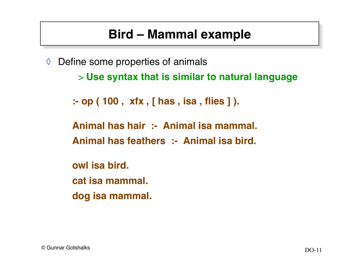# **Bird – Mammal example**

 $\Diamond$  Define some properties of animals

> **Use syntax that is similar to natural language**

```
:- op ( 100 , xfx , [ has , isa , flies ] ).
```
**Animal has hair :- Animal isa mammal. Animal has feathers :- Animal isa bird.**

**owl isa bird. cat isa mammal. dog isa mammal.**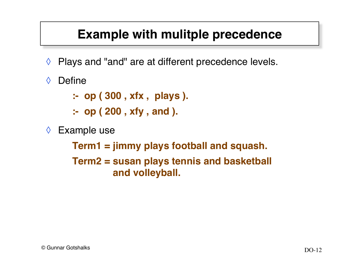## **Example with mulitple precedence**

- ◊ Plays and "and" are at different precedence levels.
- ◊ Define
	- **:- op ( 300 , xfx , plays ).**
	- **:- op ( 200 , xfy , and ).**
- ◊ Example use

**Term1 = jimmy plays football and squash. Term2 = susan plays tennis and basketball and volleyball.**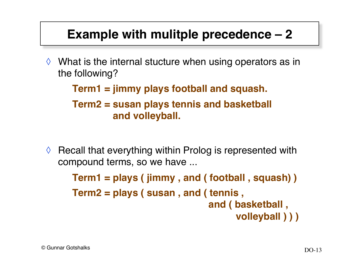#### **Example with mulitple precedence – 2**

 $\Diamond$  What is the internal stucture when using operators as in the following?

**Term1 = jimmy plays football and squash.**

**Term2 = susan plays tennis and basketball and volleyball.**

 $\Diamond$  Recall that everything within Prolog is represented with compound terms, so we have ...

> **Term1 = plays ( jimmy , and ( football , squash) ) Term2 = plays ( susan , and ( tennis , and ( basketball , volleyball ) ) )**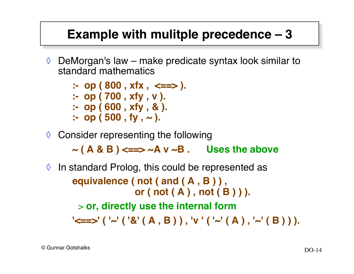#### **Example with mulitple precedence – 3**

- $\Diamond$  DeMorgan's law make predicate syntax look similar to standard mathematics
	- **:- op ( 800 , xfx , <==> ). :- op ( 700 , xfy , v ). :- op ( 600 , xfy , & ).**  $\therefore$  op (500, fy,  $\sim$ ).
- ◊ Consider representing the following

**~ ( A & B ) <==> ~A v ~B . Uses the above**

 $\Diamond$  In standard Prolog, this could be represented as **equivalence ( not ( and ( A , B ) ) , or ( not ( A ) , not ( B ) ) ).** > **or, directly use the internal form '<==>' ( '~' ( '&' ( A , B ) ) , 'v ' ( '~' ( A ) , '~' ( B ) ) ).**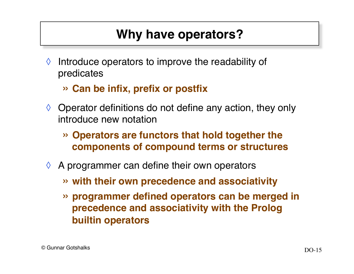# **Why have operators?**

- $\Diamond$  Introduce operators to improve the readability of predicates
	- » **Can be infix, prefix or postfix**
- $\Diamond$  Operator definitions do not define any action, they only introduce new notation
	- » **Operators are functors that hold together the components of compound terms or structures**
- $\Diamond$  A programmer can define their own operators
	- » **with their own precedence and associativity**
	- » **programmer defined operators can be merged in precedence and associativity with the Prolog builtin operators**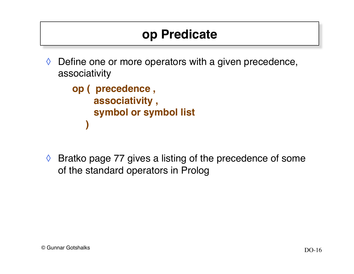## **op Predicate**

 $\Diamond$  Define one or more operators with a given precedence, associativity

```
op ( precedence ,
     associativity ,
     symbol or symbol list
 )
```
◊ Bratko page 77 gives a listing of the precedence of some of the standard operators in Prolog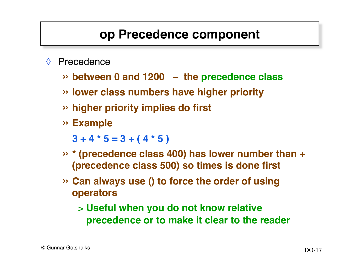#### **op Precedence component**

- ◊ Precedence
	- » **between 0 and 1200 the precedence class**
	- » **lower class numbers have higher priority**
	- » **higher priority implies do first**
	- » **Example**

 $3 + 4 \times 5 = 3 + (4 \times 5)$ 

- » **\* (precedence class 400) has lower number than + (precedence class 500) so times is done first**
- » **Can always use () to force the order of using operators**
	- > **Useful when you do not know relative precedence or to make it clear to the reader**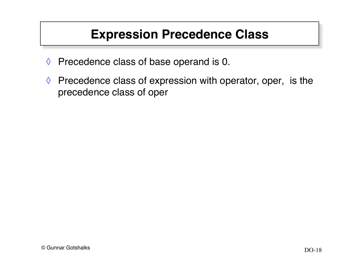#### **Expression Precedence Class**

- ◊ Precedence class of base operand is 0.
- $\Diamond$  Precedence class of expression with operator, oper, is the precedence class of oper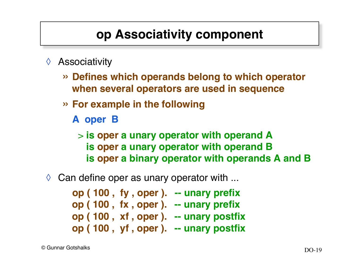## **op Associativity component**

- ◊ Associativity
	- » **Defines which operands belong to which operator when several operators are used in sequence**
	- » **For example in the following**
		- **A oper B**

> **is oper a unary operator with operand A is oper a unary operator with operand B is oper a binary operator with operands A and B**

 $\Diamond$  Can define oper as unary operator with ...

**op ( 100 , fy , oper ). -- unary prefix op ( 100 , fx , oper ). -- unary prefix op ( 100 , xf , oper ). -- unary postfix op ( 100 , yf , oper ). -- unary postfix**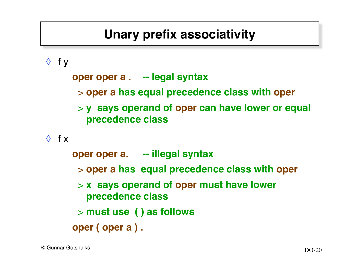# **Unary prefix associativity**

 $\Diamond$  fy

**oper oper a . -- legal syntax**

- > **oper a has equal precedence class with oper**
- > **y says operand of oper can have lower or equal precedence class**

 $\Diamond$  f x

**oper oper a. -- illegal syntax** > **oper a has equal precedence class with oper** > **x says operand of oper must have lower precedence class** > **must use ( ) as follows oper ( oper a ) .**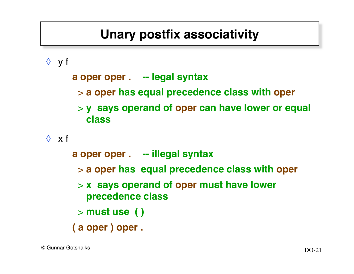## **Unary postfix associativity**

◊ y f

**a oper oper . -- legal syntax**

- > **a oper has equal precedence class with oper**
- > **y says operand of oper can have lower or equal class**

 $\Diamond$  x f

**a oper oper . -- illegal syntax** > **a oper has equal precedence class with oper** > **x says operand of oper must have lower precedence class** > **must use ( ) ( a oper ) oper .**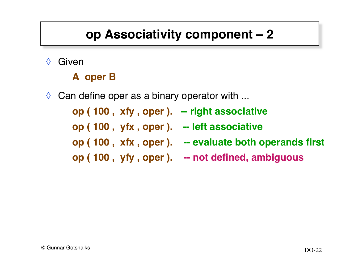# **op Associativity component – 2**

◊ Given

#### **A oper B**

 $\Diamond$  Can define oper as a binary operator with ...

**op ( 100 , xfy , oper ). -- right associative**

**op ( 100 , yfx , oper ). -- left associative**

- **op ( 100 , xfx , oper ). -- evaluate both operands first**
- **op ( 100 , yfy , oper ). -- not defined, ambiguous**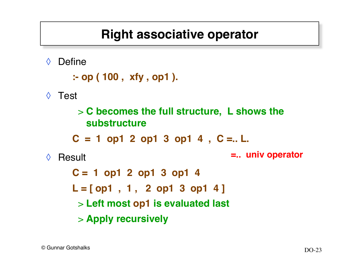#### **Right associative operator**

◊ Define

```
:- op ( 100 , xfy , op1 ).
```
◊ Test

> **C becomes the full structure, L shows the substructure**   $C = 1$  op1 2 op1 3 op1 4,  $C = L$ .

```
◊ Result
```
**=.. univ operator**

**C = 1 op1 2 op1 3 op1 4 L = [ op1 , 1 , 2 op1 3 op1 4 ]**  > **Left most op1 is evaluated last** > **Apply recursively**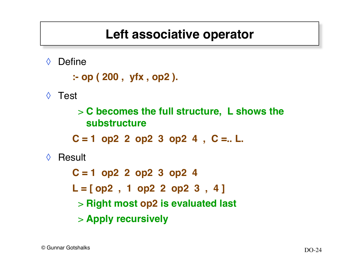#### **Left associative operator**

◊ Define

```
:- op ( 200 , yfx , op2 ).
```
◊ Test

> **C becomes the full structure, L shows the substructure** 

 $C = 1$  op2 2 op2 3 op2 4,  $C = I$ .

◊ Result

**C = 1 op2 2 op2 3 op2 4 L = [ op2 , 1 op2 2 op2 3 , 4 ]**  > **Right most op2 is evaluated last** > **Apply recursively**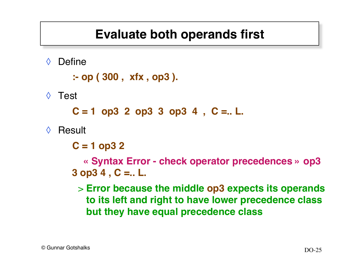## **Evaluate both operands first**

◊ Define

```
:- op ( 300 , xfx , op3 ).
```
◊ Test

 $C = 1$  op3 2 op3 3 op3 4,  $C = I$ .

◊ Result

**C = 1 op3 2**

 **« Syntax Error - check operator precedences » op3 3 op3 4 , C =.. L.** 

> **Error because the middle op3 expects its operands to its left and right to have lower precedence class but they have equal precedence class**